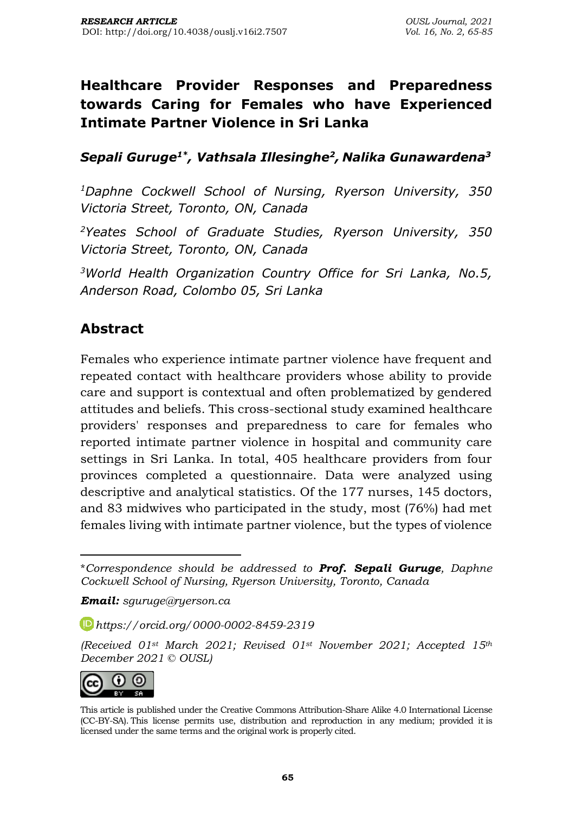# **Healthcare Provider Responses and Preparedness towards Caring for Females who have Experienced Intimate Partner Violence in Sri Lanka**

*Sepali Guruge1\* , Vathsala Illesinghe<sup>2</sup> , Nalika Gunawardena<sup>3</sup>*

*<sup>1</sup>Daphne Cockwell School of Nursing, Ryerson University, 350 Victoria Street, Toronto, ON, Canada* 

*<sup>2</sup>Yeates School of Graduate Studies, Ryerson University, 350 Victoria Street, Toronto, ON, Canada* 

*<sup>3</sup>World Health Organization Country Office for Sri Lanka, No.5, Anderson Road, Colombo 05, Sri Lanka*

## **Abstract**

Females who experience intimate partner violence have frequent and repeated contact with healthcare providers whose ability to provide care and support is contextual and often problematized by gendered attitudes and beliefs. This cross-sectional study examined healthcare providers' responses and preparedness to care for females who reported intimate partner violence in hospital and community care settings in Sri Lanka. In total, 405 healthcare providers from four provinces completed a questionnaire. Data were analyzed using descriptive and analytical statistics. Of the 177 nurses, 145 doctors, and 83 midwives who participated in the study, most (76%) had met females living with intimate partner violence, but the types of violence

*Email: sguruge@ryerson.ca*

*[https://orcid.org/0](https://orcid.org/)000-0002-8459-2319*

*<sup>(</sup>Received 01st March 2021; Revised 01st November 2021; Accepted 15th December 2021 © OUSL)*



This article is published under the Creative Commons [Attribution-Share](http://creativecommons.org/licenses/by-sa/4.0/) Alike 4.0 International License (CC-BY-SA). This license permits use, distribution and reproduction in any medium; provided it is licensed under the same terms and the original work is properly cited.

<sup>\*</sup>*Correspondence should be addressed to Prof. Sepali Guruge, Daphne Cockwell School of Nursing, Ryerson University, Toronto, Canada*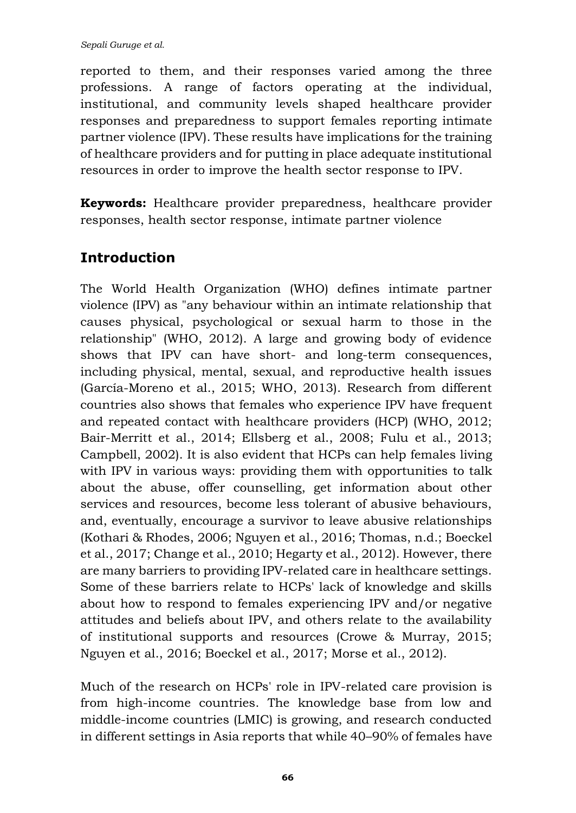reported to them, and their responses varied among the three professions. A range of factors operating at the individual, institutional, and community levels shaped healthcare provider responses and preparedness to support females reporting intimate partner violence (IPV). These results have implications for the training of healthcare providers and for putting in place adequate institutional resources in order to improve the health sector response to IPV.

**Keywords:** Healthcare provider preparedness, healthcare provider responses, health sector response, intimate partner violence

## **Introduction**

The World Health Organization (WHO) defines intimate partner violence (IPV) as "any behaviour within an intimate relationship that causes physical, psychological or sexual harm to those in the relationship" (WHO, 2012). A large and growing body of evidence shows that IPV can have short- and long-term consequences, including physical, mental, sexual, and reproductive health issues (García-Moreno et al., 2015; WHO, 2013). Research from different countries also shows that females who experience IPV have frequent and repeated contact with healthcare providers (HCP) (WHO, 2012; Bair-Merritt et al., 2014; Ellsberg et al., 2008; Fulu et al., 2013; Campbell, 2002). It is also evident that HCPs can help females living with IPV in various ways: providing them with opportunities to talk about the abuse, offer counselling, get information about other services and resources, become less tolerant of abusive behaviours, and, eventually, encourage a survivor to leave abusive relationships (Kothari & Rhodes, 2006; Nguyen et al., 2016; Thomas, n.d.; Boeckel et al., 2017; Change et al., 2010; Hegarty et al., 2012). However, there are many barriers to providing IPV-related care in healthcare settings. Some of these barriers relate to HCPs' lack of knowledge and skills about how to respond to females experiencing IPV and/or negative attitudes and beliefs about IPV, and others relate to the availability of institutional supports and resources (Crowe & Murray, 2015; Nguyen et al., 2016; Boeckel et al., 2017; Morse et al., 2012).

Much of the research on HCPs' role in IPV-related care provision is from high-income countries. The knowledge base from low and middle-income countries (LMIC) is growing, and research conducted in different settings in Asia reports that while 40–90% of females have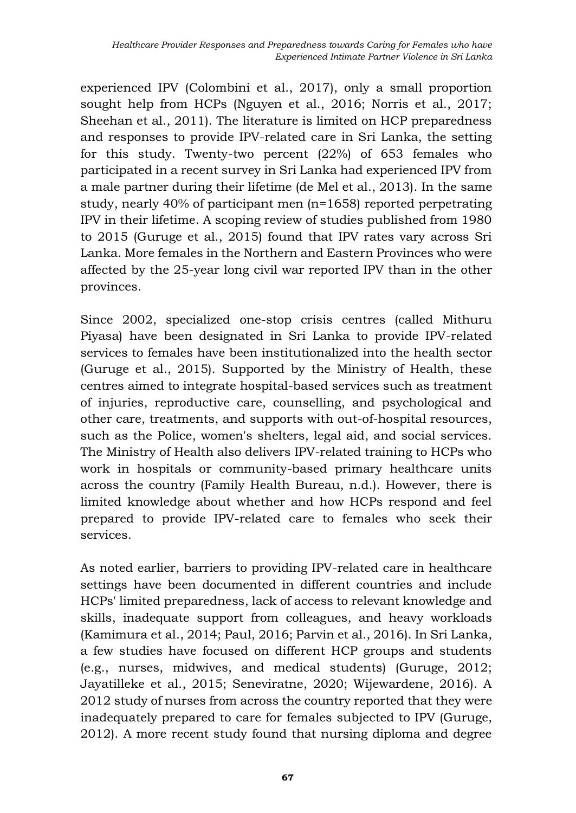experienced IPV (Colombini et al., 2017), only a small proportion sought help from HCPs (Nguyen et al., 2016; Norris et al., 2017; Sheehan et al., 2011). The literature is limited on HCP preparedness and responses to provide IPV-related care in Sri Lanka, the setting for this study. Twenty-two percent (22%) of 653 females who participated in a recent survey in Sri Lanka had experienced IPV from a male partner during their lifetime (de Mel et al., 2013). In the same study, nearly 40% of participant men (n=1658) reported perpetrating IPV in their lifetime. A scoping review of studies published from 1980 to 2015 (Guruge et al., 2015) found that IPV rates vary across Sri Lanka. More females in the Northern and Eastern Provinces who were affected by the 25-year long civil war reported IPV than in the other provinces.

Since 2002, specialized one-stop crisis centres (called Mithuru Piyasa) have been designated in Sri Lanka to provide IPV-related services to females have been institutionalized into the health sector (Guruge et al., 2015). Supported by the Ministry of Health, these centres aimed to integrate hospital-based services such as treatment of injuries, reproductive care, counselling, and psychological and other care, treatments, and supports with out-of-hospital resources, such as the Police, women's shelters, legal aid, and social services. The Ministry of Health also delivers IPV-related training to HCPs who work in hospitals or community-based primary healthcare units across the country (Family Health Bureau, n.d.). However, there is limited knowledge about whether and how HCPs respond and feel prepared to provide IPV-related care to females who seek their services.

As noted earlier, barriers to providing IPV-related care in healthcare settings have been documented in different countries and include HCPs' limited preparedness, lack of access to relevant knowledge and skills, inadequate support from colleagues, and heavy workloads (Kamimura et al., 2014; Paul, 2016; Parvin et al., 2016). In Sri Lanka, a few studies have focused on different HCP groups and students (e.g., nurses, midwives, and medical students) (Guruge, 2012; Jayatilleke et al., 2015; Seneviratne, 2020; Wijewardene, 2016). A 2012 study of nurses from across the country reported that they were inadequately prepared to care for females subjected to IPV (Guruge, 2012). A more recent study found that nursing diploma and degree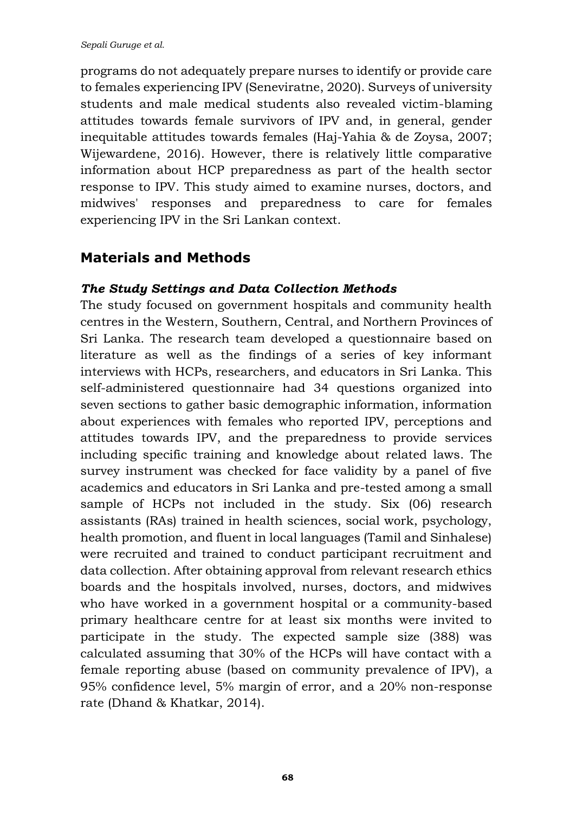programs do not adequately prepare nurses to identify or provide care to females experiencing IPV (Seneviratne, 2020). Surveys of university students and male medical students also revealed victim-blaming attitudes towards female survivors of IPV and, in general, gender inequitable attitudes towards females (Haj-Yahia & de Zoysa, 2007; Wijewardene, 2016). However, there is relatively little comparative information about HCP preparedness as part of the health sector response to IPV. This study aimed to examine nurses, doctors, and midwives' responses and preparedness to care for females experiencing IPV in the Sri Lankan context.

### **Materials and Methods**

#### *The Study Settings and Data Collection Methods*

The study focused on government hospitals and community health centres in the Western, Southern, Central, and Northern Provinces of Sri Lanka. The research team developed a questionnaire based on literature as well as the findings of a series of key informant interviews with HCPs, researchers, and educators in Sri Lanka. This self-administered questionnaire had 34 questions organized into seven sections to gather basic demographic information, information about experiences with females who reported IPV, perceptions and attitudes towards IPV, and the preparedness to provide services including specific training and knowledge about related laws. The survey instrument was checked for face validity by a panel of five academics and educators in Sri Lanka and pre-tested among a small sample of HCPs not included in the study. Six (06) research assistants (RAs) trained in health sciences, social work, psychology, health promotion, and fluent in local languages (Tamil and Sinhalese) were recruited and trained to conduct participant recruitment and data collection. After obtaining approval from relevant research ethics boards and the hospitals involved, nurses, doctors, and midwives who have worked in a government hospital or a community-based primary healthcare centre for at least six months were invited to participate in the study. The expected sample size (388) was calculated assuming that 30% of the HCPs will have contact with a female reporting abuse (based on community prevalence of IPV), a 95% confidence level, 5% margin of error, and a 20% non-response rate (Dhand & Khatkar, 2014).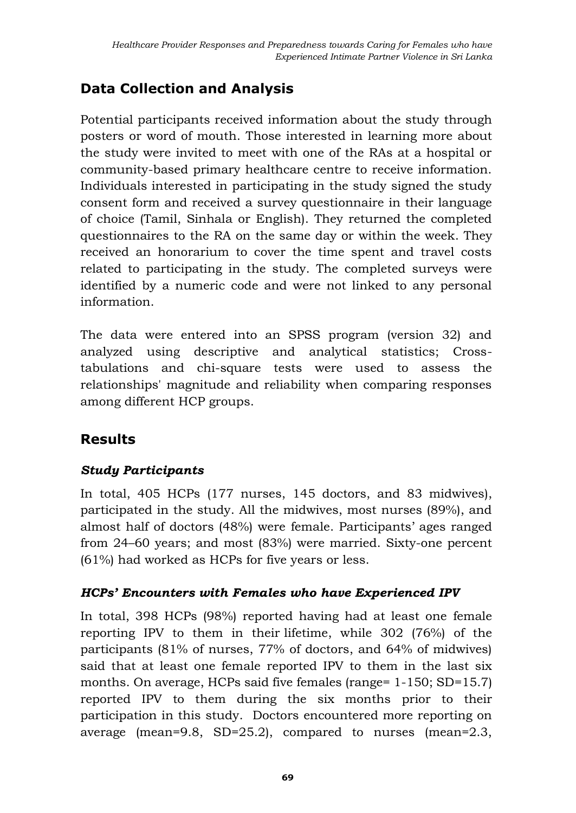# **Data Collection and Analysis**

Potential participants received information about the study through posters or word of mouth. Those interested in learning more about the study were invited to meet with one of the RAs at a hospital or community-based primary healthcare centre to receive information. Individuals interested in participating in the study signed the study consent form and received a survey questionnaire in their language of choice (Tamil, Sinhala or English). They returned the completed questionnaires to the RA on the same day or within the week. They received an honorarium to cover the time spent and travel costs related to participating in the study. The completed surveys were identified by a numeric code and were not linked to any personal information.

The data were entered into an SPSS program (version 32) and analyzed using descriptive and analytical statistics; Crosstabulations and chi-square tests were used to assess the relationships' magnitude and reliability when comparing responses among different HCP groups.

## **Results**

### *Study Participants*

In total, 405 HCPs (177 nurses, 145 doctors, and 83 midwives), participated in the study. All the midwives, most nurses (89%), and almost half of doctors (48%) were female. Participants' ages ranged from 24–60 years; and most (83%) were married. Sixty-one percent (61%) had worked as HCPs for five years or less.

### *HCPs' Encounters with Females who have Experienced IPV*

In total, 398 HCPs (98%) reported having had at least one female reporting IPV to them in their lifetime, while 302 (76%) of the participants (81% of nurses, 77% of doctors, and 64% of midwives) said that at least one female reported IPV to them in the last six months. On average, HCPs said five females (range= 1-150; SD=15.7) reported IPV to them during the six months prior to their participation in this study. Doctors encountered more reporting on average (mean=9.8, SD=25.2), compared to nurses (mean=2.3,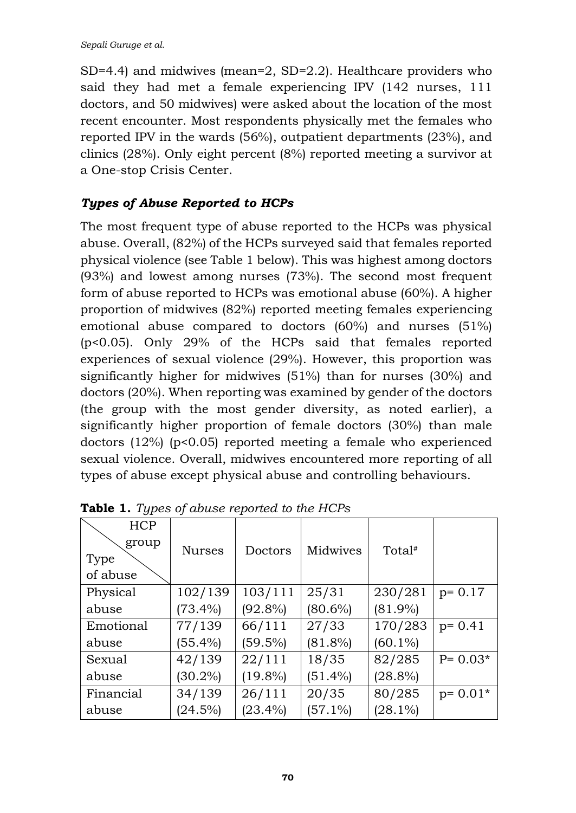SD=4.4) and midwives (mean=2, SD=2.2). Healthcare providers who said they had met a female experiencing IPV (142 nurses, 111 doctors, and 50 midwives) were asked about the location of the most recent encounter. Most respondents physically met the females who reported IPV in the wards (56%), outpatient departments (23%), and clinics (28%). Only eight percent (8%) reported meeting a survivor at a One-stop Crisis Center.

### *Types of Abuse Reported to HCPs*

The most frequent type of abuse reported to the HCPs was physical abuse. Overall, (82%) of the HCPs surveyed said that females reported physical violence (see Table 1 below). This was highest among doctors (93%) and lowest among nurses (73%). The second most frequent form of abuse reported to HCPs was emotional abuse (60%). A higher proportion of midwives (82%) reported meeting females experiencing emotional abuse compared to doctors (60%) and nurses (51%) (p<0.05). Only 29% of the HCPs said that females reported experiences of sexual violence (29%). However, this proportion was significantly higher for midwives (51%) than for nurses (30%) and doctors (20%). When reporting was examined by gender of the doctors (the group with the most gender diversity, as noted earlier), a significantly higher proportion of female doctors (30%) than male doctors (12%) (p<0.05) reported meeting a female who experienced sexual violence. Overall, midwives encountered more reporting of all types of abuse except physical abuse and controlling behaviours.

| <b>HCP</b><br>group | <b>Nurses</b> | Doctors    | Midwives   | Total <sup>#</sup> |             |
|---------------------|---------------|------------|------------|--------------------|-------------|
| Type                |               |            |            |                    |             |
| of abuse            |               |            |            |                    |             |
| Physical            | 102/139       | 103/111    | 25/31      | 230/281            | $p = 0.17$  |
| abuse               | $(73.4\%)$    | $(92.8\%)$ | $(80.6\%)$ | $(81.9\%)$         |             |
| Emotional           | 77/139        | 66/111     | 27/33      | 170/283            | $p = 0.41$  |
| abuse               | $(55.4\%)$    | $(59.5\%)$ | $(81.8\%)$ | $(60.1\%)$         |             |
| Sexual              | 42/139        | 22/111     | 18/35      | 82/285             | $P = 0.03*$ |
| abuse               | $(30.2\%)$    | $(19.8\%)$ | $(51.4\%)$ | $(28.8\%)$         |             |
| Financial           | 34/139        | 26/111     | 20/35      | 80/285             | $p = 0.01*$ |
| abuse               | (24.5%)       | $(23.4\%)$ | $(57.1\%)$ | $(28.1\%)$         |             |

**Table 1.** *Types of abuse reported to the HCPs*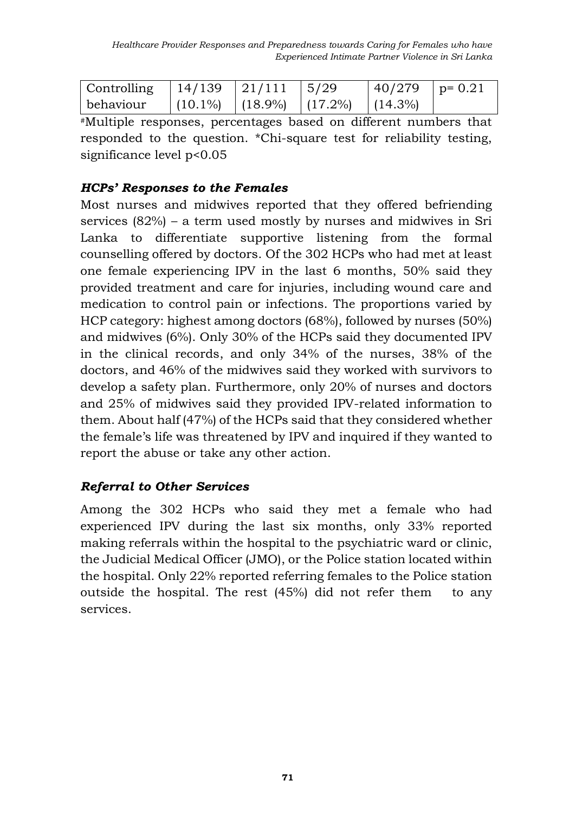| $\vert$ Controlling $\vert$ 14/139 $\vert$ 21/111 $\vert$ 5/29 |  |                                             | $ 40/279 $ p= 0.21 |  |
|----------------------------------------------------------------|--|---------------------------------------------|--------------------|--|
| behaviour                                                      |  | $(10.1\%)$ $(18.9\%)$ $(17.2\%)$ $(14.3\%)$ |                    |  |

#Multiple responses, percentages based on different numbers that responded to the question. \*Chi-square test for reliability testing, significance level p<0.05

#### *HCPs' Responses to the Females*

Most nurses and midwives reported that they offered befriending services (82%) – a term used mostly by nurses and midwives in Sri Lanka to differentiate supportive listening from the formal counselling offered by doctors. Of the 302 HCPs who had met at least one female experiencing IPV in the last 6 months, 50% said they provided treatment and care for injuries, including wound care and medication to control pain or infections. The proportions varied by HCP category: highest among doctors (68%), followed by nurses (50%) and midwives (6%). Only 30% of the HCPs said they documented IPV in the clinical records, and only 34% of the nurses, 38% of the doctors, and 46% of the midwives said they worked with survivors to develop a safety plan. Furthermore, only 20% of nurses and doctors and 25% of midwives said they provided IPV-related information to them. About half (47%) of the HCPs said that they considered whether the female's life was threatened by IPV and inquired if they wanted to report the abuse or take any other action.

### *Referral to Other Services*

Among the 302 HCPs who said they met a female who had experienced IPV during the last six months, only 33% reported making referrals within the hospital to the psychiatric ward or clinic, the Judicial Medical Officer (JMO), or the Police station located within the hospital. Only 22% reported referring females to the Police station outside the hospital. The rest (45%) did not refer them to any services.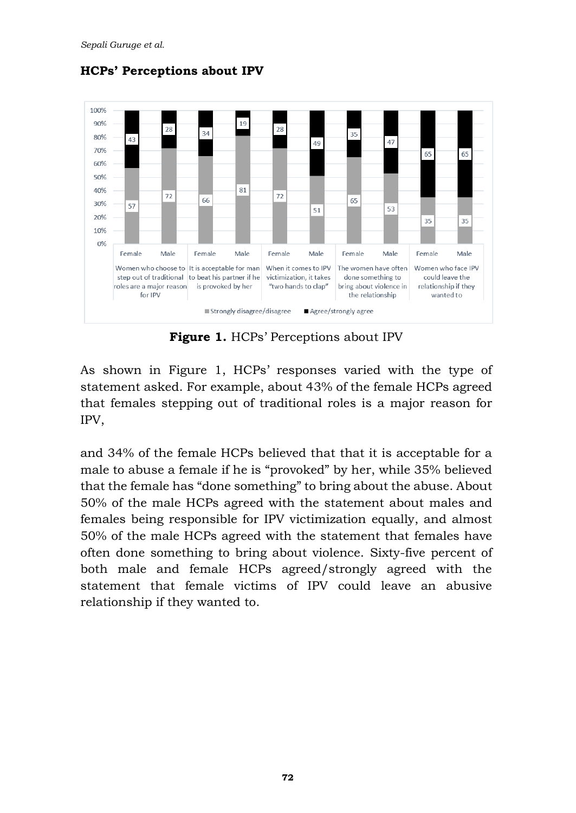

**HCPs' Perceptions about IPV**

**Figure 1.** HCPs' Perceptions about IPV

As shown in Figure 1, HCPs' responses varied with the type of statement asked. For example, about 43% of the female HCPs agreed that females stepping out of traditional roles is a major reason for IPV,

and 34% of the female HCPs believed that that it is acceptable for a male to abuse a female if he is "provoked" by her, while 35% believed that the female has "done something" to bring about the abuse. About 50% of the male HCPs agreed with the statement about males and females being responsible for IPV victimization equally, and almost 50% of the male HCPs agreed with the statement that females have often done something to bring about violence. Sixty-five percent of both male and female HCPs agreed/strongly agreed with the statement that female victims of IPV could leave an abusive relationship if they wanted to.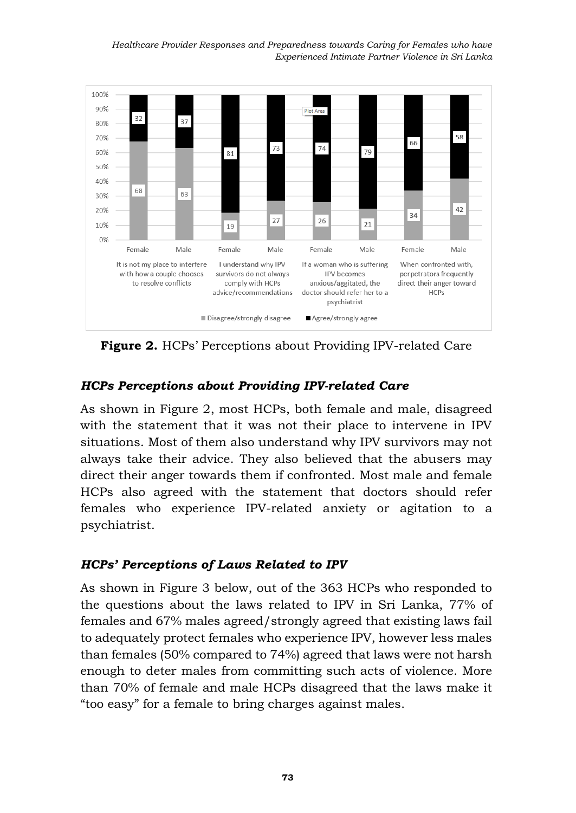*Healthcare Provider Responses and Preparedness towards Caring for Females who have Experienced Intimate Partner Violence in Sri Lanka* 



**Figure 2.** HCPs' Perceptions about Providing IPV-related Care

### *HCPs Perceptions about Providing IPV-related Care*

As shown in Figure 2, most HCPs, both female and male, disagreed with the statement that it was not their place to intervene in IPV situations. Most of them also understand why IPV survivors may not always take their advice. They also believed that the abusers may direct their anger towards them if confronted. Most male and female HCPs also agreed with the statement that doctors should refer females who experience IPV-related anxiety or agitation to a psychiatrist.

#### *HCPs' Perceptions of Laws Related to IPV*

As shown in Figure 3 below, out of the 363 HCPs who responded to the questions about the laws related to IPV in Sri Lanka, 77% of females and 67% males agreed/strongly agreed that existing laws fail to adequately protect females who experience IPV, however less males than females (50% compared to 74%) agreed that laws were not harsh enough to deter males from committing such acts of violence. More than 70% of female and male HCPs disagreed that the laws make it "too easy" for a female to bring charges against males.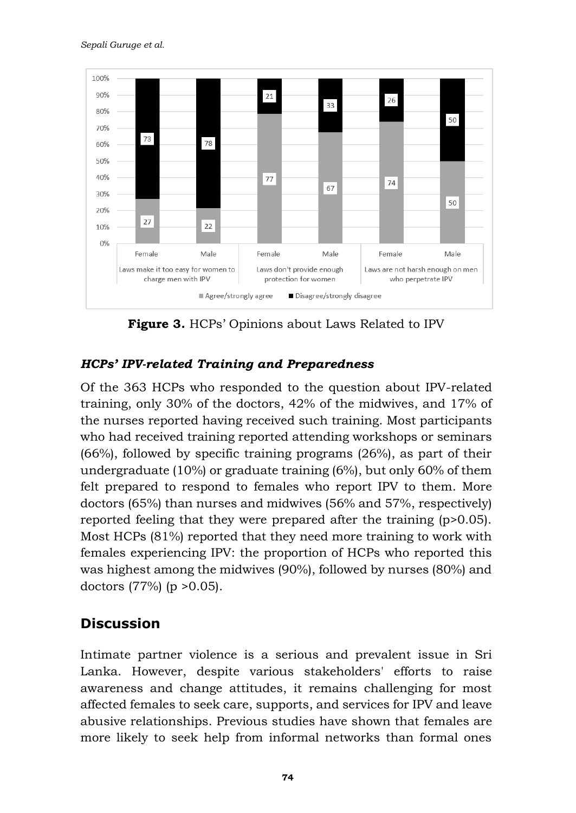

**Figure 3.** HCPs' Opinions about Laws Related to IPV

### *HCPs' IPV-related Training and Preparedness*

Of the 363 HCPs who responded to the question about IPV-related training, only 30% of the doctors, 42% of the midwives, and 17% of the nurses reported having received such training. Most participants who had received training reported attending workshops or seminars (66%), followed by specific training programs (26%), as part of their undergraduate (10%) or graduate training (6%), but only 60% of them felt prepared to respond to females who report IPV to them. More doctors (65%) than nurses and midwives (56% and 57%, respectively) reported feeling that they were prepared after the training (p>0.05). Most HCPs (81%) reported that they need more training to work with females experiencing IPV: the proportion of HCPs who reported this was highest among the midwives (90%), followed by nurses (80%) and doctors  $(77%)$  (p  $>0.05$ ).

### **Discussion**

Intimate partner violence is a serious and prevalent issue in Sri Lanka. However, despite various stakeholders' efforts to raise awareness and change attitudes, it remains challenging for most affected females to seek care, supports, and services for IPV and leave abusive relationships. Previous studies have shown that females are more likely to seek help from informal networks than formal ones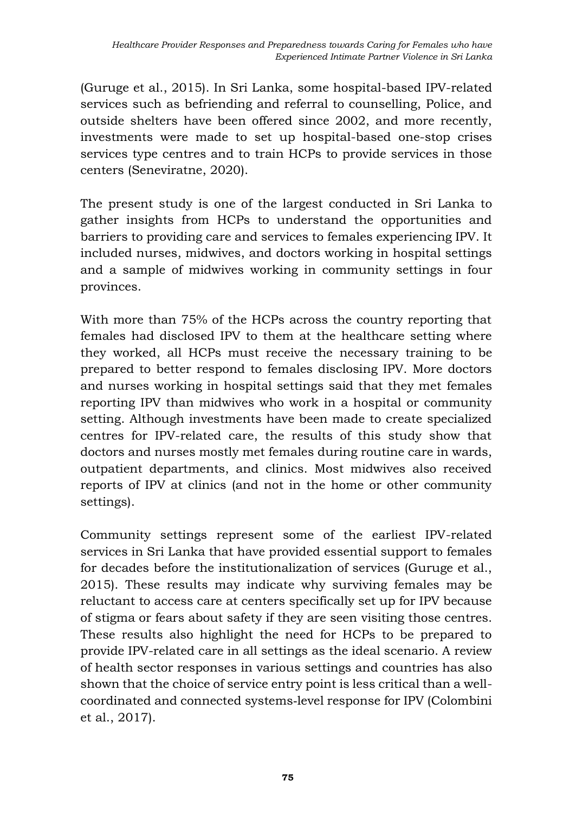(Guruge et al., 2015). In Sri Lanka, some hospital-based IPV-related services such as befriending and referral to counselling, Police, and outside shelters have been offered since 2002, and more recently, investments were made to set up hospital-based one-stop crises services type centres and to train HCPs to provide services in those centers (Seneviratne, 2020).

The present study is one of the largest conducted in Sri Lanka to gather insights from HCPs to understand the opportunities and barriers to providing care and services to females experiencing IPV. It included nurses, midwives, and doctors working in hospital settings and a sample of midwives working in community settings in four provinces.

With more than 75% of the HCPs across the country reporting that females had disclosed IPV to them at the healthcare setting where they worked, all HCPs must receive the necessary training to be prepared to better respond to females disclosing IPV. More doctors and nurses working in hospital settings said that they met females reporting IPV than midwives who work in a hospital or community setting. Although investments have been made to create specialized centres for IPV-related care, the results of this study show that doctors and nurses mostly met females during routine care in wards, outpatient departments, and clinics. Most midwives also received reports of IPV at clinics (and not in the home or other community settings).

Community settings represent some of the earliest IPV-related services in Sri Lanka that have provided essential support to females for decades before the institutionalization of services (Guruge et al., 2015). These results may indicate why surviving females may be reluctant to access care at centers specifically set up for IPV because of stigma or fears about safety if they are seen visiting those centres. These results also highlight the need for HCPs to be prepared to provide IPV-related care in all settings as the ideal scenario. A review of health sector responses in various settings and countries has also shown that the choice of service entry point is less critical than a wellcoordinated and connected systems‐level response for IPV (Colombini et al., 2017).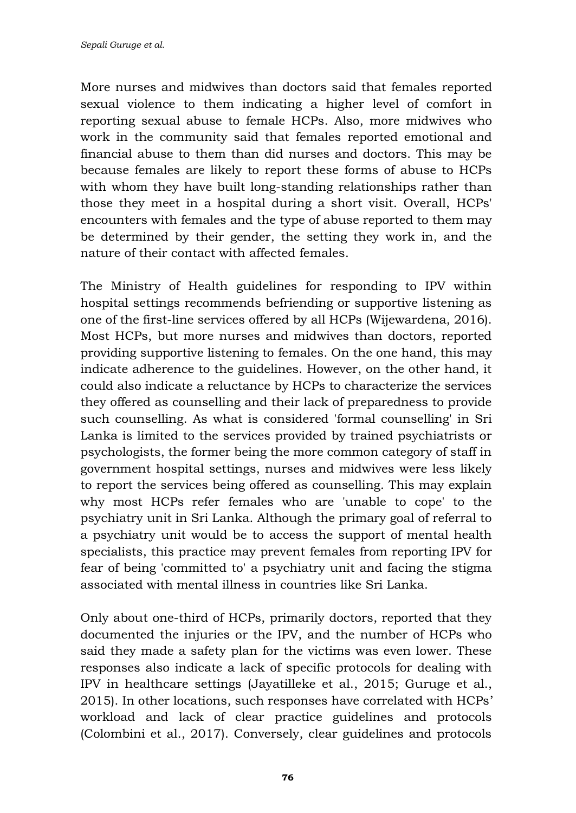More nurses and midwives than doctors said that females reported sexual violence to them indicating a higher level of comfort in reporting sexual abuse to female HCPs. Also, more midwives who work in the community said that females reported emotional and financial abuse to them than did nurses and doctors. This may be because females are likely to report these forms of abuse to HCPs with whom they have built long-standing relationships rather than those they meet in a hospital during a short visit. Overall, HCPs' encounters with females and the type of abuse reported to them may be determined by their gender, the setting they work in, and the nature of their contact with affected females.

The Ministry of Health guidelines for responding to IPV within hospital settings recommends befriending or supportive listening as one of the first-line services offered by all HCPs (Wijewardena, 2016). Most HCPs, but more nurses and midwives than doctors, reported providing supportive listening to females. On the one hand, this may indicate adherence to the guidelines. However, on the other hand, it could also indicate a reluctance by HCPs to characterize the services they offered as counselling and their lack of preparedness to provide such counselling. As what is considered 'formal counselling' in Sri Lanka is limited to the services provided by trained psychiatrists or psychologists, the former being the more common category of staff in government hospital settings, nurses and midwives were less likely to report the services being offered as counselling. This may explain why most HCPs refer females who are 'unable to cope' to the psychiatry unit in Sri Lanka. Although the primary goal of referral to a psychiatry unit would be to access the support of mental health specialists, this practice may prevent females from reporting IPV for fear of being 'committed to' a psychiatry unit and facing the stigma associated with mental illness in countries like Sri Lanka.

Only about one-third of HCPs, primarily doctors, reported that they documented the injuries or the IPV, and the number of HCPs who said they made a safety plan for the victims was even lower. These responses also indicate a lack of specific protocols for dealing with IPV in healthcare settings (Jayatilleke et al., 2015; Guruge et al., 2015). In other locations, such responses have correlated with HCPs' workload and lack of clear practice guidelines and protocols (Colombini et al., 2017). Conversely, clear guidelines and protocols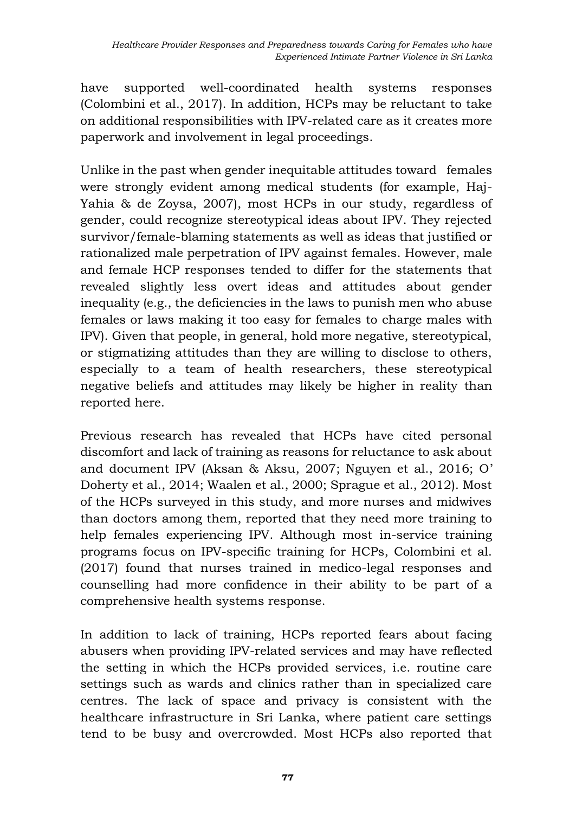have supported well-coordinated health systems responses (Colombini et al., 2017). In addition, HCPs may be reluctant to take on additional responsibilities with IPV-related care as it creates more paperwork and involvement in legal proceedings.

Unlike in the past when gender inequitable attitudes toward females were strongly evident among medical students (for example, Haj-Yahia & de Zoysa, 2007), most HCPs in our study, regardless of gender, could recognize stereotypical ideas about IPV. They rejected survivor/female-blaming statements as well as ideas that justified or rationalized male perpetration of IPV against females. However, male and female HCP responses tended to differ for the statements that revealed slightly less overt ideas and attitudes about gender inequality (e.g., the deficiencies in the laws to punish men who abuse females or laws making it too easy for females to charge males with IPV). Given that people, in general, hold more negative, stereotypical, or stigmatizing attitudes than they are willing to disclose to others, especially to a team of health researchers, these stereotypical negative beliefs and attitudes may likely be higher in reality than reported here.

Previous research has revealed that HCPs have cited personal discomfort and lack of training as reasons for reluctance to ask about and document IPV (Aksan & Aksu, 2007; Nguyen et al., 2016; O' Doherty et al., 2014; Waalen et al., 2000; Sprague et al., 2012). Most of the HCPs surveyed in this study, and more nurses and midwives than doctors among them, reported that they need more training to help females experiencing IPV. Although most in-service training programs focus on IPV-specific training for HCPs, Colombini et al. (2017) found that nurses trained in medico-legal responses and counselling had more confidence in their ability to be part of a comprehensive health systems response.

In addition to lack of training, HCPs reported fears about facing abusers when providing IPV-related services and may have reflected the setting in which the HCPs provided services, i.e. routine care settings such as wards and clinics rather than in specialized care centres. The lack of space and privacy is consistent with the healthcare infrastructure in Sri Lanka, where patient care settings tend to be busy and overcrowded. Most HCPs also reported that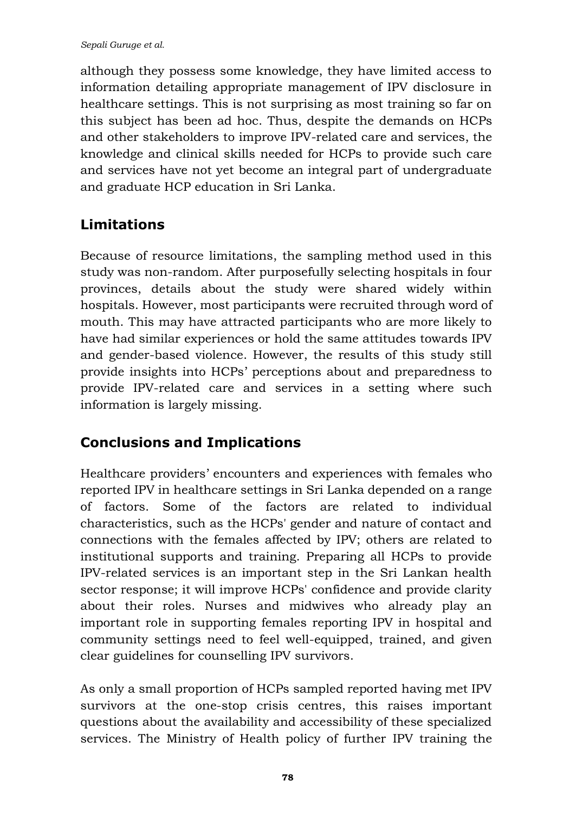although they possess some knowledge, they have limited access to information detailing appropriate management of IPV disclosure in healthcare settings. This is not surprising as most training so far on this subject has been ad hoc. Thus, despite the demands on HCPs and other stakeholders to improve IPV-related care and services, the knowledge and clinical skills needed for HCPs to provide such care and services have not yet become an integral part of undergraduate and graduate HCP education in Sri Lanka.

# **Limitations**

Because of resource limitations, the sampling method used in this study was non-random. After purposefully selecting hospitals in four provinces, details about the study were shared widely within hospitals. However, most participants were recruited through word of mouth. This may have attracted participants who are more likely to have had similar experiences or hold the same attitudes towards IPV and gender-based violence. However, the results of this study still provide insights into HCPs' perceptions about and preparedness to provide IPV-related care and services in a setting where such information is largely missing.

# **Conclusions and Implications**

Healthcare providers' encounters and experiences with females who reported IPV in healthcare settings in Sri Lanka depended on a range of factors. Some of the factors are related to individual characteristics, such as the HCPs' gender and nature of contact and connections with the females affected by IPV; others are related to institutional supports and training. Preparing all HCPs to provide IPV-related services is an important step in the Sri Lankan health sector response; it will improve HCPs' confidence and provide clarity about their roles. Nurses and midwives who already play an important role in supporting females reporting IPV in hospital and community settings need to feel well-equipped, trained, and given clear guidelines for counselling IPV survivors.

As only a small proportion of HCPs sampled reported having met IPV survivors at the one-stop crisis centres, this raises important questions about the availability and accessibility of these specialized services. The Ministry of Health policy of further IPV training the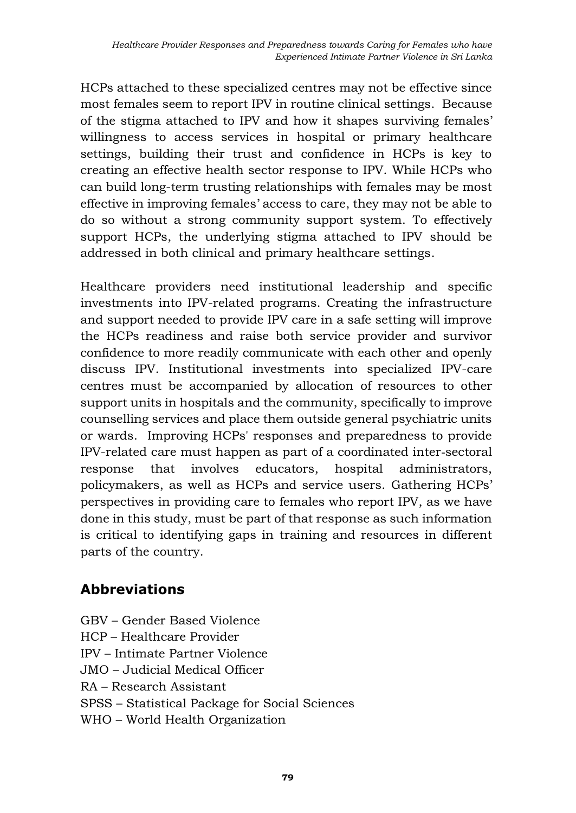HCPs attached to these specialized centres may not be effective since most females seem to report IPV in routine clinical settings. Because of the stigma attached to IPV and how it shapes surviving females' willingness to access services in hospital or primary healthcare settings, building their trust and confidence in HCPs is key to creating an effective health sector response to IPV. While HCPs who can build long-term trusting relationships with females may be most effective in improving females' access to care, they may not be able to do so without a strong community support system. To effectively support HCPs, the underlying stigma attached to IPV should be addressed in both clinical and primary healthcare settings.

Healthcare providers need institutional leadership and specific investments into IPV-related programs. Creating the infrastructure and support needed to provide IPV care in a safe setting will improve the HCPs readiness and raise both service provider and survivor confidence to more readily communicate with each other and openly discuss IPV. Institutional investments into specialized IPV-care centres must be accompanied by allocation of resources to other support units in hospitals and the community, specifically to improve counselling services and place them outside general psychiatric units or wards. Improving HCPs' responses and preparedness to provide IPV-related care must happen as part of a coordinated inter‐sectoral response that involves educators, hospital administrators, policymakers, as well as HCPs and service users. Gathering HCPs' perspectives in providing care to females who report IPV, as we have done in this study, must be part of that response as such information is critical to identifying gaps in training and resources in different parts of the country.

### **Abbreviations**

- GBV Gender Based Violence
- HCP Healthcare Provider
- IPV Intimate Partner Violence
- JMO Judicial Medical Officer
- RA Research Assistant
- SPSS Statistical Package for Social Sciences
- WHO World Health Organization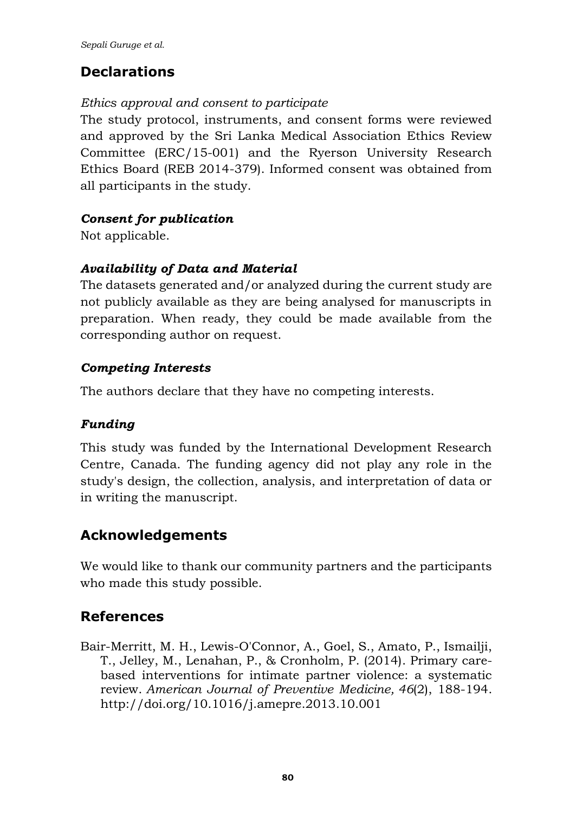# **Declarations**

#### *Ethics approval and consent to participate*

The study protocol, instruments, and consent forms were reviewed and approved by the Sri Lanka Medical Association Ethics Review Committee (ERC/15-001) and the Ryerson University Research Ethics Board (REB 2014-379). Informed consent was obtained from all participants in the study.

### *Consent for publication*

Not applicable.

### *Availability of Data and Material*

The datasets generated and/or analyzed during the current study are not publicly available as they are being analysed for manuscripts in preparation. When ready, they could be made available from the corresponding author on request.

### *Competing Interests*

The authors declare that they have no competing interests.

### *Funding*

This study was funded by the International Development Research Centre, Canada. The funding agency did not play any role in the study's design, the collection, analysis, and interpretation of data or in writing the manuscript.

## **Acknowledgements**

We would like to thank our community partners and the participants who made this study possible.

## **References**

Bair-Merritt, M. H., Lewis-O'Connor, A., Goel, S., Amato, P., Ismailji, T., Jelley, M., Lenahan, P., & Cronholm, P. (2014). Primary carebased interventions for intimate partner violence: a systematic review. *American Journal of Preventive Medicine, 46*(2), 188-194. http:/[/doi.org/10.1016/j.amepre.2013.10.001](https://doi.org/10.1016/j.amepre.2013.10.001)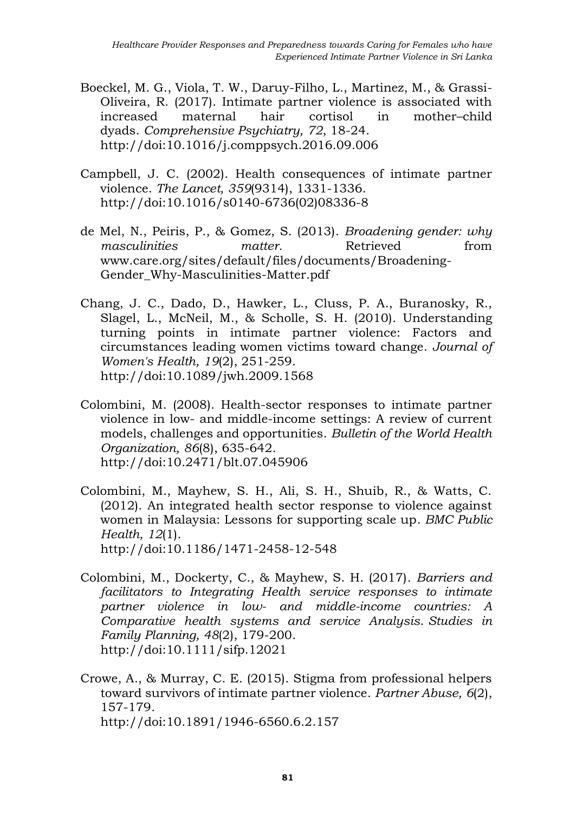- Boeckel, M. G., Viola, T. W., Daruy-Filho, L., Martinez, M., & Grassi-Oliveira, R. (2017). Intimate partner violence is associated with increased maternal hair cortisol in mother–child dyads. *Comprehensive Psychiatry, 72*, 18-24. http://doi:10.1016/j.comppsych.2016.09.006
- Campbell, J. C. (2002). Health consequences of intimate partner violence. *The Lancet, 359*(9314), 1331-1336. http://doi:10.1016/s0140-6736(02)08336-8
- de Mel, N., Peiris, P., & Gomez, S. (2013). *Broadening gender: why masculinities matter.* Retrieved from [www.care.org/sites/default/files/documents/Broadening-](http://www.care.org/sites/default/files/documents/Broadening-Gender_Why-Masculinities-Matter.pdf)Gender Why-Masculinities-Matter.pdf
- Chang, J. C., Dado, D., Hawker, L., Cluss, P. A., Buranosky, R., Slagel, L., McNeil, M., & Scholle, S. H. (2010). Understanding turning points in intimate partner violence: Factors and circumstances leading women victims toward change. *Journal of Women's Health, 19*(2), 251-259. <http://doi:10.1089/jwh.2009.1568>
- Colombini, M. (2008). Health-sector responses to intimate partner violence in low- and middle-income settings: A review of current models, challenges and opportunities. *Bulletin of the World Health Organization, 86*(8), 635-642. <http://doi:10.2471/blt.07.045906>
- Colombini, M., Mayhew, S. H., Ali, S. H., Shuib, R., & Watts, C. (2012). An integrated health sector response to violence against women in Malaysia: Lessons for supporting scale up. *BMC Public Health, 12*(1). http://doi:10.1186/1471-2458-12-548
- Colombini, M., Dockerty, C., & Mayhew, S. H. (2017). *Barriers and facilitators to Integrating Health service responses to intimate partner violence in low- and middle-income countries: A Comparative health systems and service Analysis*. *Studies in Family Planning, 48*(2), 179-200. <http://doi:10.1111/sifp.12021>
- Crowe, A., & Murray, C. E. (2015). Stigma from professional helpers toward survivors of intimate partner violence. *Partner Abuse, 6*(2), 157-179. <http://doi:10.1891/1946-6560.6.2.157>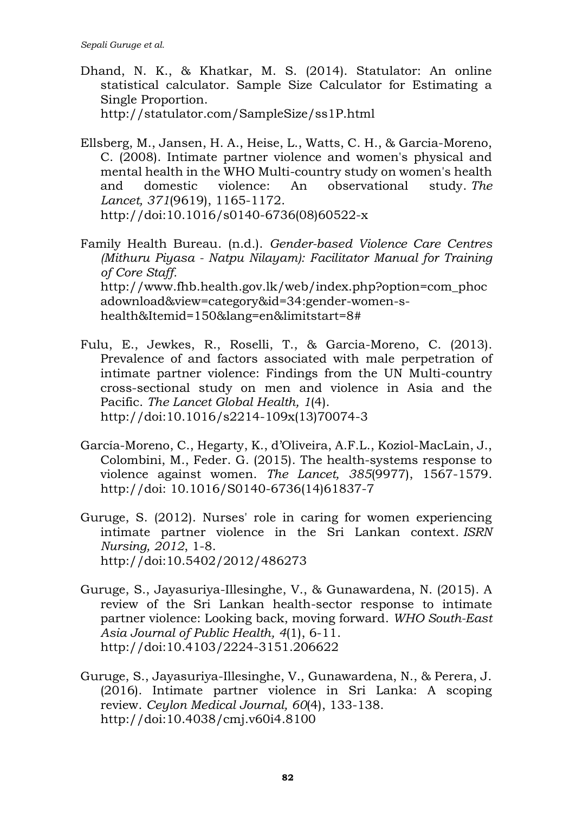- Dhand, N. K., & Khatkar, M. S. (2014). Statulator: An online statistical calculator. Sample Size Calculator for Estimating a Single Proportion. http://statulator.com/SampleSize/ss1P.html
- Ellsberg, M., Jansen, H. A., Heise, L., Watts, C. H., & Garcia-Moreno, C. (2008). Intimate partner violence and women's physical and mental health in the WHO Multi-country study on women's health and domestic violence: An observational study. *The Lancet, 371*(9619), 1165-1172. http://doi:10.1016/s0140-6736(08)60522-x
- Family Health Bureau. (n.d.). *Gender-based Violence Care Centres (Mithuru Piyasa - Natpu Nilayam): Facilitator Manual for Training of Core Staff.* [http://www.fhb.health.gov.lk/web/index.php?option=com\\_phoc](http://www.fhb.health.gov.lk/web/index.php?option=com_phocadownload&view=category&id=34:gender-women-s-health&Itemid=150&lang=en&limitstart=8) [adownload&view=category&id=34:gender-women-s](http://www.fhb.health.gov.lk/web/index.php?option=com_phocadownload&view=category&id=34:gender-women-s-health&Itemid=150&lang=en&limitstart=8)[health&Itemid=150&lang=en&limitstart=8#](http://www.fhb.health.gov.lk/web/index.php?option=com_phocadownload&view=category&id=34:gender-women-s-health&Itemid=150&lang=en&limitstart=8)
- Fulu, E., Jewkes, R., Roselli, T., & Garcia-Moreno, C. (2013). Prevalence of and factors associated with male perpetration of intimate partner violence: Findings from the UN Multi-country cross-sectional study on men and violence in Asia and the Pacific. *The Lancet Global Health, 1*(4). http://doi:10.1016/s2214-109x(13)70074-3
- García-Moreno, C., Hegarty, K., d'Oliveira, A.F.L., Koziol-MacLain, J., Colombini, M., Feder. G. (2015). The health-systems response to violence against women. *The Lancet, 385*(9977), 1567-1579. http://doi: 10.1016/S0140-6736(14)61837-7
- Guruge, S. (2012). Nurses' role in caring for women experiencing intimate partner violence in the Sri Lankan context. *ISRN Nursing, 2012*, 1-8. http://doi:10.5402/2012/486273
- Guruge, S., Jayasuriya-Illesinghe, V., & Gunawardena, N. (2015). A review of the Sri Lankan health-sector response to intimate partner violence: Looking back, moving forward. *WHO South-East Asia Journal of Public Health, 4*(1), 6-11. http://doi:10.4103/2224-3151.206622
- Guruge, S., Jayasuriya-Illesinghe, V., Gunawardena, N., & Perera, J. (2016). Intimate partner violence in Sri Lanka: A scoping review. *Ceylon Medical Journal, 60*(4), 133-138. http://doi:10.4038/cmj.v60i4.8100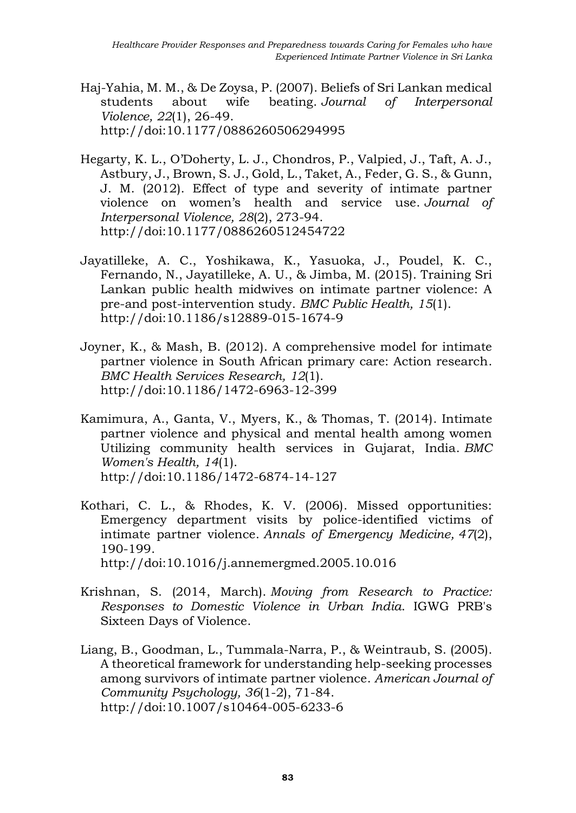- Haj-Yahia, M. M., & De Zoysa, P. (2007). Beliefs of Sri Lankan medical students about wife beating. *Journal of Interpersonal Violence, 22*(1), 26-49. http://doi:10.1177/0886260506294995
- Hegarty, K. L., O'Doherty, L. J., Chondros, P., Valpied, J., Taft, A. J., Astbury, J., Brown, S. J., Gold, L., Taket, A., Feder, G. S., & Gunn, J. M. (2012). Effect of type and severity of intimate partner violence on women's health and service use. *Journal of Interpersonal Violence, 28*(2), 273-94. http://doi:10.1177/0886260512454722
- Jayatilleke, A. C., Yoshikawa, K., Yasuoka, J., Poudel, K. C., Fernando, N., Jayatilleke, A. U., & Jimba, M. (2015). Training Sri Lankan public health midwives on intimate partner violence: A pre-and post-intervention study. *BMC Public Health, 15*(1). http://doi:10.1186/s12889-015-1674-9
- Joyner, K., & Mash, B. (2012). A comprehensive model for intimate partner violence in South African primary care: Action research. *BMC Health Services Research, 12*(1). http://doi:10.1186/1472-6963-12-399
- Kamimura, A., Ganta, V., Myers, K., & Thomas, T. (2014). Intimate partner violence and physical and mental health among women Utilizing community health services in Gujarat, India. *BMC Women's Health, 14*(1). http://doi:10.1186/1472-6874-14-127
- Kothari, C. L., & Rhodes, K. V. (2006). Missed opportunities: Emergency department visits by police-identified victims of intimate partner violence. *Annals of Emergency Medicine, 47*(2), 190-199. http://doi:10.1016/j.annemergmed.2005.10.016
- Krishnan, S. (2014, March). *Moving from Research to Practice: Responses to Domestic Violence in Urban India*. IGWG PRB's Sixteen Days of Violence.
- Liang, B., Goodman, L., Tummala-Narra, P., & Weintraub, S. (2005). A theoretical framework for understanding help-seeking processes among survivors of intimate partner violence. *American Journal of Community Psychology, 36*(1-2), 71-84. http://doi:10.1007/s10464-005-6233-6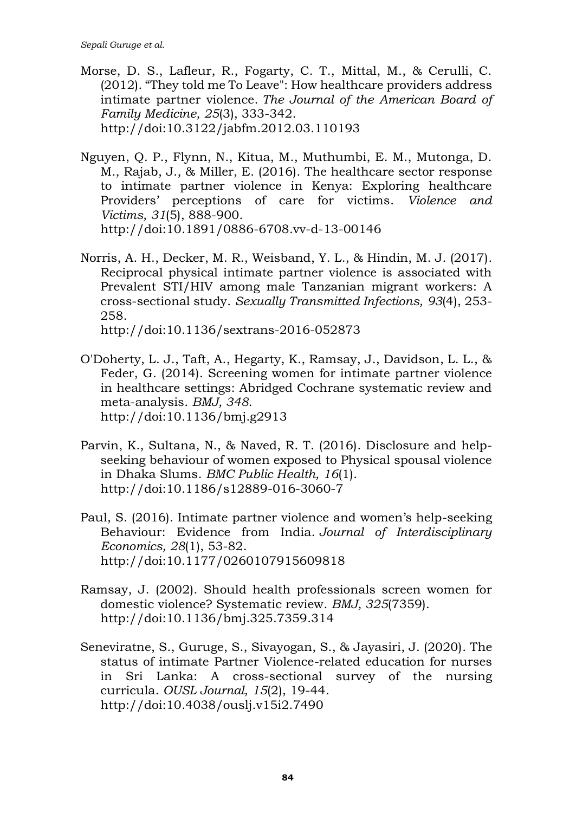- Morse, D. S., Lafleur, R., Fogarty, C. T., Mittal, M., & Cerulli, C. (2012). "They told me To Leave": How healthcare providers address intimate partner violence. *The Journal of the American Board of Family Medicine, 25*(3), 333-342. http://doi:10.3122/jabfm.2012.03.110193
- Nguyen, Q. P., Flynn, N., Kitua, M., Muthumbi, E. M., Mutonga, D. M., Rajab, J., & Miller, E. (2016). The healthcare sector response to intimate partner violence in Kenya: Exploring healthcare Providers' perceptions of care for victims. *Violence and Victims, 31*(5), 888-900. http://doi:10.1891/0886-6708.vv-d-13-00146
- Norris, A. H., Decker, M. R., Weisband, Y. L., & Hindin, M. J. (2017). Reciprocal physical intimate partner violence is associated with Prevalent STI/HIV among male Tanzanian migrant workers: A cross-sectional study. *Sexually Transmitted Infections, 93*(4), 253- 258.

http://doi:10.1136/sextrans-2016-052873

- O'Doherty, L. J., Taft, A., Hegarty, K., Ramsay, J., Davidson, L. L., & Feder, G. (2014). Screening women for intimate partner violence in healthcare settings: Abridged Cochrane systematic review and meta-analysis. *BMJ, 348*. http://doi:10.1136/bmj.g2913
- Parvin, K., Sultana, N., & Naved, R. T. (2016). Disclosure and helpseeking behaviour of women exposed to Physical spousal violence in Dhaka Slums. *BMC Public Health, 16*(1). http://doi:10.1186/s12889-016-3060-7
- Paul, S. (2016). Intimate partner violence and women's help-seeking Behaviour: Evidence from India. *Journal of Interdisciplinary Economics, 28*(1), 53-82. http://doi:10.1177/0260107915609818
- Ramsay, J. (2002). Should health professionals screen women for domestic violence? Systematic review. *BMJ, 325*(7359). http://doi:10.1136/bmj.325.7359.314
- Seneviratne, S., Guruge, S., Sivayogan, S., & Jayasiri, J. (2020). The status of intimate Partner Violence-related education for nurses in Sri Lanka: A cross-sectional survey of the nursing curricula. *OUSL Journal, 15*(2), 19-44. http://doi:10.4038/ouslj.v15i2.7490